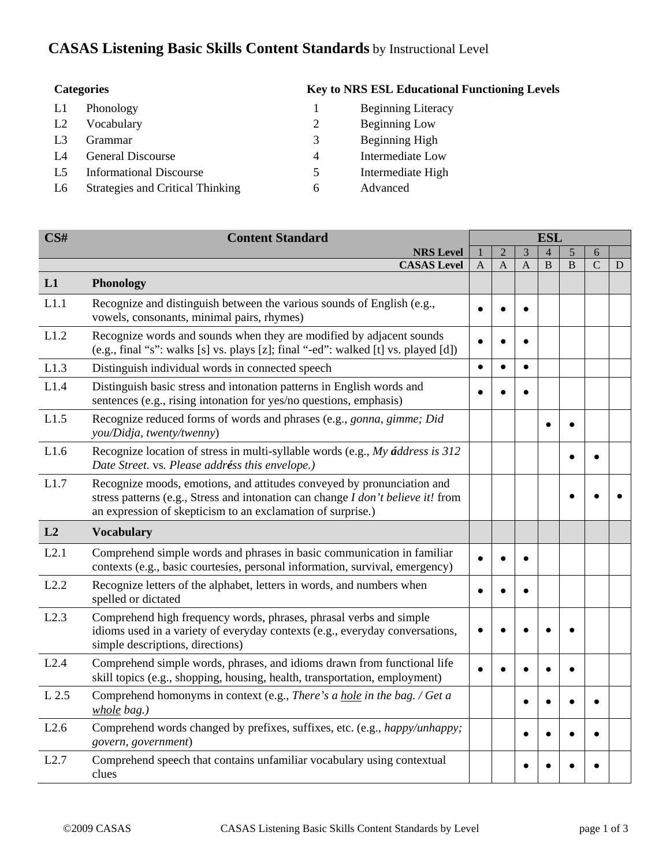## **CASAS Listening Basic Skills Content Standards** by Instructional Level

| <b>Categories</b> |                                         |   | <b>Key to NRS ESL Educational Functioning Levels</b> |
|-------------------|-----------------------------------------|---|------------------------------------------------------|
| L1                | Phonology                               |   | <b>Beginning Literacy</b>                            |
| L <sub>2</sub>    | Vocabulary                              | 2 | <b>Beginning Low</b>                                 |
| L <sub>3</sub>    | Grammar                                 | 3 | Beginning High                                       |
| L4                | <b>General Discourse</b>                | 4 | Intermediate Low                                     |
| L5                | <b>Informational Discourse</b>          | 5 | Intermediate High                                    |
| L6                | <b>Strategies and Critical Thinking</b> | 6 | Advanced                                             |

| $\overline{\text{CS}}\text{H}$ | <b>Content Standard</b>                                                                                                                                                                                                   |                | <b>ESL</b>     |              |                |   |               |   |  |  |  |  |
|--------------------------------|---------------------------------------------------------------------------------------------------------------------------------------------------------------------------------------------------------------------------|----------------|----------------|--------------|----------------|---|---------------|---|--|--|--|--|
|                                | <b>NRS Level</b>                                                                                                                                                                                                          |                | $\overline{2}$ | 3            | $\overline{4}$ | 5 | 6             |   |  |  |  |  |
|                                | <b>CASAS</b> Level                                                                                                                                                                                                        | $\overline{A}$ | A              | $\mathsf{A}$ | B              | B | $\mathcal{C}$ | D |  |  |  |  |
| L1                             | Phonology                                                                                                                                                                                                                 |                |                |              |                |   |               |   |  |  |  |  |
| L1.1                           | Recognize and distinguish between the various sounds of English (e.g.,<br>vowels, consonants, minimal pairs, rhymes)                                                                                                      | $\bullet$      | ٠              | $\bullet$    |                |   |               |   |  |  |  |  |
| L1.2                           | Recognize words and sounds when they are modified by adjacent sounds<br>(e.g., final "s": walks [s] vs. plays [z]; final "-ed": walked [t] vs. played [d])                                                                |                |                | $\bullet$    |                |   |               |   |  |  |  |  |
| L1.3                           | Distinguish individual words in connected speech                                                                                                                                                                          | $\bullet$      | $\bullet$      | $\bullet$    |                |   |               |   |  |  |  |  |
| L1.4                           | Distinguish basic stress and intonation patterns in English words and<br>sentences (e.g., rising intonation for yes/no questions, emphasis)                                                                               |                |                |              |                |   |               |   |  |  |  |  |
| L1.5                           | Recognize reduced forms of words and phrases (e.g., gonna, gimme; Did<br>you/Didja, twenty/twenny)                                                                                                                        |                |                |              |                |   |               |   |  |  |  |  |
| L1.6                           | Recognize location of stress in multi-syllable words (e.g., My <i>áddress is</i> 312<br>Date Street. vs. Please addréss this envelope.)                                                                                   |                |                |              |                |   |               |   |  |  |  |  |
| L1.7                           | Recognize moods, emotions, and attitudes conveyed by pronunciation and<br>stress patterns (e.g., Stress and intonation can change I don't believe it! from<br>an expression of skepticism to an exclamation of surprise.) |                |                |              |                |   |               |   |  |  |  |  |
| L <sub>2</sub>                 | <b>Vocabulary</b>                                                                                                                                                                                                         |                |                |              |                |   |               |   |  |  |  |  |
| L2.1                           | Comprehend simple words and phrases in basic communication in familiar<br>contexts (e.g., basic courtesies, personal information, survival, emergency)                                                                    |                |                |              |                |   |               |   |  |  |  |  |
| L2.2                           | Recognize letters of the alphabet, letters in words, and numbers when<br>spelled or dictated                                                                                                                              | $\bullet$      | $\bullet$      | $\bullet$    |                |   |               |   |  |  |  |  |
| L2.3                           | Comprehend high frequency words, phrases, phrasal verbs and simple<br>idioms used in a variety of everyday contexts (e.g., everyday conversations,<br>simple descriptions, directions)                                    |                |                |              |                |   |               |   |  |  |  |  |
| L2.4                           | Comprehend simple words, phrases, and idioms drawn from functional life<br>skill topics (e.g., shopping, housing, health, transportation, employment)                                                                     |                |                |              |                |   |               |   |  |  |  |  |
| L 2.5                          | Comprehend homonyms in context (e.g., There's a hole in the bag. / Get a<br>whole bag.)                                                                                                                                   |                |                | $\bullet$    |                |   |               |   |  |  |  |  |
| L2.6                           | Comprehend words changed by prefixes, suffixes, etc. (e.g., happy/unhappy;<br>govern, government)                                                                                                                         |                |                |              |                |   |               |   |  |  |  |  |
| L2.7                           | Comprehend speech that contains unfamiliar vocabulary using contextual<br>clues                                                                                                                                           |                |                |              |                |   |               |   |  |  |  |  |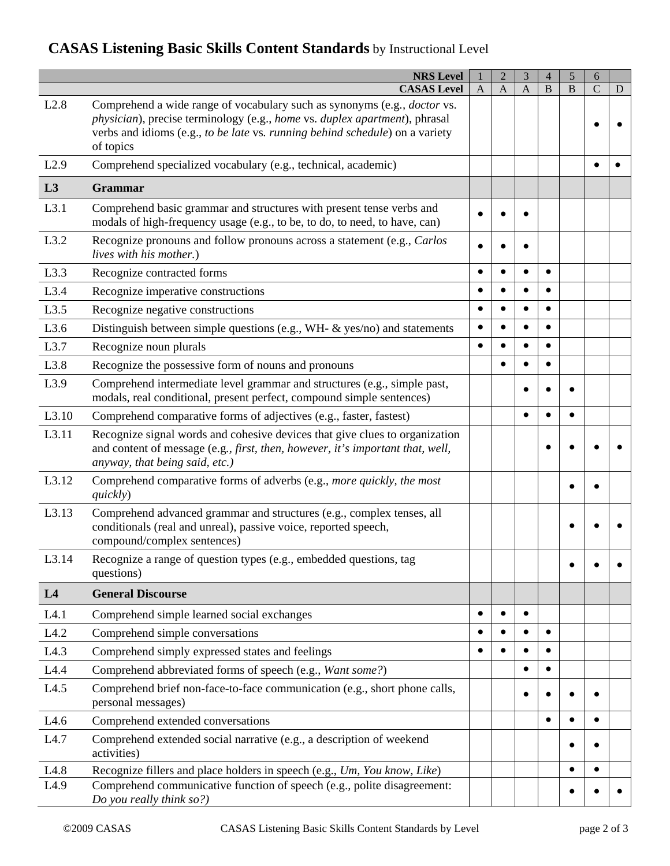## **CASAS Listening Basic Skills Content Standards** by Instructional Level

|       | <b>NRS Level</b><br><b>CASAS Level</b>                                                                                                                                                                                                              | $\mathbf{A}$ | $\overline{2}$<br>$\overline{A}$ | 3<br>$\overline{A}$ | $\overline{4}$<br>$\, {\bf B}$ | 5<br>B | 6<br>$\mathcal{C}$ | D |
|-------|-----------------------------------------------------------------------------------------------------------------------------------------------------------------------------------------------------------------------------------------------------|--------------|----------------------------------|---------------------|--------------------------------|--------|--------------------|---|
| L2.8  | Comprehend a wide range of vocabulary such as synonyms (e.g., doctor vs.<br>physician), precise terminology (e.g., home vs. duplex apartment), phrasal<br>verbs and idioms (e.g., to be late vs. running behind schedule) on a variety<br>of topics |              |                                  |                     |                                |        |                    |   |
| L2.9  | Comprehend specialized vocabulary (e.g., technical, academic)                                                                                                                                                                                       |              |                                  |                     |                                |        |                    |   |
| L3    | <b>Grammar</b>                                                                                                                                                                                                                                      |              |                                  |                     |                                |        |                    |   |
| L3.1  | Comprehend basic grammar and structures with present tense verbs and<br>modals of high-frequency usage (e.g., to be, to do, to need, to have, can)                                                                                                  |              |                                  |                     |                                |        |                    |   |
| L3.2  | Recognize pronouns and follow pronouns across a statement (e.g., Carlos<br>lives with his mother.)                                                                                                                                                  |              |                                  |                     |                                |        |                    |   |
| L3.3  | Recognize contracted forms                                                                                                                                                                                                                          |              |                                  |                     |                                |        |                    |   |
| L3.4  | Recognize imperative constructions                                                                                                                                                                                                                  |              |                                  |                     |                                |        |                    |   |
| L3.5  | Recognize negative constructions                                                                                                                                                                                                                    |              | ٠                                | $\bullet$           | $\bullet$                      |        |                    |   |
| L3.6  | Distinguish between simple questions (e.g., WH- & yes/no) and statements                                                                                                                                                                            |              |                                  | $\bullet$           | $\bullet$                      |        |                    |   |
| L3.7  | Recognize noun plurals                                                                                                                                                                                                                              |              |                                  |                     | $\bullet$                      |        |                    |   |
| L3.8  | Recognize the possessive form of nouns and pronouns                                                                                                                                                                                                 |              |                                  |                     | $\bullet$                      |        |                    |   |
| L3.9  | Comprehend intermediate level grammar and structures (e.g., simple past,<br>modals, real conditional, present perfect, compound simple sentences)                                                                                                   |              |                                  |                     |                                |        |                    |   |
| L3.10 | Comprehend comparative forms of adjectives (e.g., faster, fastest)                                                                                                                                                                                  |              |                                  |                     |                                |        |                    |   |
| L3.11 | Recognize signal words and cohesive devices that give clues to organization<br>and content of message (e.g., first, then, however, it's important that, well,<br>anyway, that being said, etc.)                                                     |              |                                  |                     |                                |        |                    |   |
| L3.12 | Comprehend comparative forms of adverbs (e.g., more quickly, the most<br>quickly)                                                                                                                                                                   |              |                                  |                     |                                |        |                    |   |
| L3.13 | Comprehend advanced grammar and structures (e.g., complex tenses, all<br>conditionals (real and unreal), passive voice, reported speech,<br>compound/complex sentences)                                                                             |              |                                  |                     |                                |        |                    |   |
| L3.14 | Recognize a range of question types (e.g., embedded questions, tag<br>questions)                                                                                                                                                                    |              |                                  |                     |                                |        |                    |   |
| L4    | <b>General Discourse</b>                                                                                                                                                                                                                            |              |                                  |                     |                                |        |                    |   |
| L4.1  | Comprehend simple learned social exchanges                                                                                                                                                                                                          |              |                                  | $\bullet$           |                                |        |                    |   |
| L4.2  | Comprehend simple conversations                                                                                                                                                                                                                     |              |                                  |                     | $\bullet$                      |        |                    |   |
| L4.3  | Comprehend simply expressed states and feelings                                                                                                                                                                                                     |              |                                  |                     | $\bullet$                      |        |                    |   |
| L4.4  | Comprehend abbreviated forms of speech (e.g., Want some?)                                                                                                                                                                                           |              |                                  | $\bullet$           | $\bullet$                      |        |                    |   |
| L4.5  | Comprehend brief non-face-to-face communication (e.g., short phone calls,<br>personal messages)                                                                                                                                                     |              |                                  |                     |                                |        |                    |   |
| L4.6  | Comprehend extended conversations                                                                                                                                                                                                                   |              |                                  |                     | $\bullet$                      |        | $\bullet$          |   |
| L4.7  | Comprehend extended social narrative (e.g., a description of weekend<br>activities)                                                                                                                                                                 |              |                                  |                     |                                |        |                    |   |
| L4.8  | Recognize fillers and place holders in speech (e.g., Um, You know, Like)                                                                                                                                                                            |              |                                  |                     |                                |        | $\bullet$          |   |
| L4.9  | Comprehend communicative function of speech (e.g., polite disagreement:<br>Do you really think so?)                                                                                                                                                 |              |                                  |                     |                                |        |                    |   |